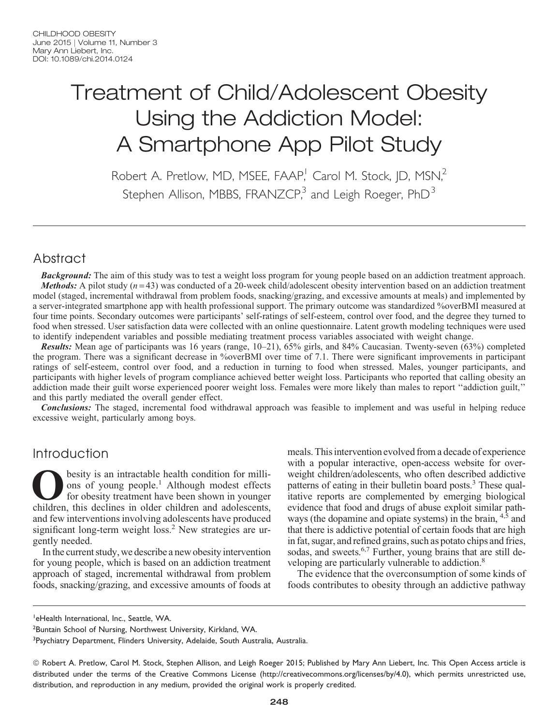# Treatment of Child/Adolescent Obesity Using the Addiction Model: A Smartphone App Pilot Study

Robert A. Pretlow, MD, MSEE, FAAP,<sup>1</sup> Carol M. Stock, JD, MSN,<sup>2</sup> Stephen Allison, MBBS, FRANZCP,<sup>3</sup> and Leigh Roeger, PhD<sup>3</sup>

# Abstract

**Background:** The aim of this study was to test a weight loss program for young people based on an addiction treatment approach. *Methods:* A pilot study  $(n=43)$  was conducted of a 20-week child/adolescent obesity intervention based on an addiction treatment model (staged, incremental withdrawal from problem foods, snacking/grazing, and excessive amounts at meals) and implemented by a server-integrated smartphone app with health professional support. The primary outcome was standardized %overBMI measured at four time points. Secondary outcomes were participants' self-ratings of self-esteem, control over food, and the degree they turned to food when stressed. User satisfaction data were collected with an online questionnaire. Latent growth modeling techniques were used to identify independent variables and possible mediating treatment process variables associated with weight change.

Results: Mean age of participants was 16 years (range, 10–21), 65% girls, and 84% Caucasian. Twenty-seven (63%) completed the program. There was a significant decrease in %overBMI over time of 7.1. There were significant improvements in participant ratings of self-esteem, control over food, and a reduction in turning to food when stressed. Males, younger participants, and participants with higher levels of program compliance achieved better weight loss. Participants who reported that calling obesity an addiction made their guilt worse experienced poorer weight loss. Females were more likely than males to report ''addiction guilt,'' and this partly mediated the overall gender effect.

**Conclusions:** The staged, incremental food withdrawal approach was feasible to implement and was useful in helping reduce excessive weight, particularly among boys.

# Introduction

**Obesity is an intractable health condition for milli-**<br>ons of young people.<sup>1</sup> Although modest effects<br>for obesity treatment have been shown in younger<br>children, this declines in older children and adolescents. ons of young people.<sup>1</sup> Although modest effects for obesity treatment have been shown in younger children, this declines in older children and adolescents, and few interventions involving adolescents have produced significant long-term weight loss.<sup>2</sup> New strategies are urgently needed.

In the current study, we describe a new obesity intervention for young people, which is based on an addiction treatment approach of staged, incremental withdrawal from problem foods, snacking/grazing, and excessive amounts of foods at meals. This intervention evolved from a decade of experience with a popular interactive, open-access website for overweight children/adolescents, who often described addictive patterns of eating in their bulletin board posts.<sup>3</sup> These qualitative reports are complemented by emerging biological evidence that food and drugs of abuse exploit similar pathways (the dopamine and opiate systems) in the brain, <sup>4,5</sup> and that there is addictive potential of certain foods that are high in fat, sugar, and refined grains, such as potato chips and fries, sodas, and sweets.<sup>6,7</sup> Further, young brains that are still developing are particularly vulnerable to addiction.<sup>8</sup>

The evidence that the overconsumption of some kinds of foods contributes to obesity through an addictive pathway

<sup>1</sup>eHealth International, Inc., Seattle, WA.

<sup>2</sup>Buntain School of Nursing, Northwest University, Kirkland, WA.

<sup>3</sup>Psychiatry Department, Flinders University, Adelaide, South Australia, Australia.

ª Robert A. Pretlow, Carol M. Stock, Stephen Allison, and Leigh Roeger 2015; Published by Mary Ann Liebert, Inc. This Open Access article is distributed under the terms of the Creative Commons License (http://creativecommons.org/licenses/by/4.0), which permits unrestricted use, distribution, and reproduction in any medium, provided the original work is properly credited.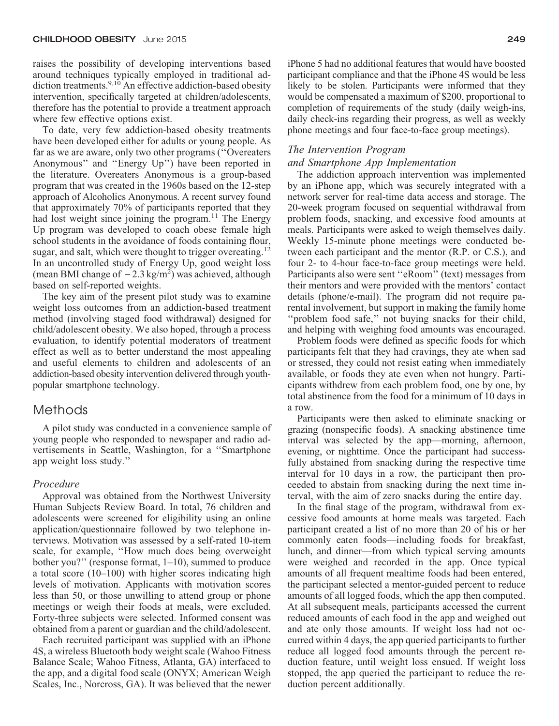raises the possibility of developing interventions based around techniques typically employed in traditional addiction treatments.<sup>9,10</sup> An effective addiction-based obesity intervention, specifically targeted at children/adolescents, therefore has the potential to provide a treatment approach where few effective options exist.

To date, very few addiction-based obesity treatments have been developed either for adults or young people. As far as we are aware, only two other programs (''Overeaters Anonymous'' and ''Energy Up'') have been reported in the literature. Overeaters Anonymous is a group-based program that was created in the 1960s based on the 12-step approach of Alcoholics Anonymous. A recent survey found that approximately 70% of participants reported that they had lost weight since joining the program.<sup>11</sup> The Energy Up program was developed to coach obese female high school students in the avoidance of foods containing flour, sugar, and salt, which were thought to trigger overeating.<sup>12</sup> In an uncontrolled study of Energy Up, good weight loss (mean BMI change of  $-2.3 \text{ kg/m}^2$ ) was achieved, although based on self-reported weights.

The key aim of the present pilot study was to examine weight loss outcomes from an addiction-based treatment method (involving staged food withdrawal) designed for child/adolescent obesity. We also hoped, through a process evaluation, to identify potential moderators of treatment effect as well as to better understand the most appealing and useful elements to children and adolescents of an addiction-based obesity intervention delivered through youthpopular smartphone technology.

# Methods

A pilot study was conducted in a convenience sample of young people who responded to newspaper and radio advertisements in Seattle, Washington, for a ''Smartphone app weight loss study.''

# Procedure

Approval was obtained from the Northwest University Human Subjects Review Board. In total, 76 children and adolescents were screened for eligibility using an online application/questionnaire followed by two telephone interviews. Motivation was assessed by a self-rated 10-item scale, for example, ''How much does being overweight bother you?'' (response format, 1–10), summed to produce a total score (10–100) with higher scores indicating high levels of motivation. Applicants with motivation scores less than 50, or those unwilling to attend group or phone meetings or weigh their foods at meals, were excluded. Forty-three subjects were selected. Informed consent was obtained from a parent or guardian and the child/adolescent.

Each recruited participant was supplied with an iPhone 4S, a wireless Bluetooth body weight scale (Wahoo Fitness Balance Scale; Wahoo Fitness, Atlanta, GA) interfaced to the app, and a digital food scale (ONYX; American Weigh Scales, Inc., Norcross, GA). It was believed that the newer iPhone 5 had no additional features that would have boosted participant compliance and that the iPhone 4S would be less likely to be stolen. Participants were informed that they would be compensated a maximum of \$200, proportional to completion of requirements of the study (daily weigh-ins, daily check-ins regarding their progress, as well as weekly phone meetings and four face-to-face group meetings).

## The Intervention Program

### and Smartphone App Implementation

The addiction approach intervention was implemented by an iPhone app, which was securely integrated with a network server for real-time data access and storage. The 20-week program focused on sequential withdrawal from problem foods, snacking, and excessive food amounts at meals. Participants were asked to weigh themselves daily. Weekly 15-minute phone meetings were conducted between each participant and the mentor (R.P. or C.S.), and four 2- to 4-hour face-to-face group meetings were held. Participants also were sent ''eRoom'' (text) messages from their mentors and were provided with the mentors' contact details (phone/e-mail). The program did not require parental involvement, but support in making the family home "problem food safe," not buying snacks for their child, and helping with weighing food amounts was encouraged.

Problem foods were defined as specific foods for which participants felt that they had cravings, they ate when sad or stressed, they could not resist eating when immediately available, or foods they ate even when not hungry. Participants withdrew from each problem food, one by one, by total abstinence from the food for a minimum of 10 days in a row.

Participants were then asked to eliminate snacking or grazing (nonspecific foods). A snacking abstinence time interval was selected by the app—morning, afternoon, evening, or nighttime. Once the participant had successfully abstained from snacking during the respective time interval for 10 days in a row, the participant then proceeded to abstain from snacking during the next time interval, with the aim of zero snacks during the entire day.

In the final stage of the program, withdrawal from excessive food amounts at home meals was targeted. Each participant created a list of no more than 20 of his or her commonly eaten foods—including foods for breakfast, lunch, and dinner—from which typical serving amounts were weighed and recorded in the app. Once typical amounts of all frequent mealtime foods had been entered, the participant selected a mentor-guided percent to reduce amounts of all logged foods, which the app then computed. At all subsequent meals, participants accessed the current reduced amounts of each food in the app and weighed out and ate only those amounts. If weight loss had not occurred within 4 days, the app queried participants to further reduce all logged food amounts through the percent reduction feature, until weight loss ensued. If weight loss stopped, the app queried the participant to reduce the reduction percent additionally.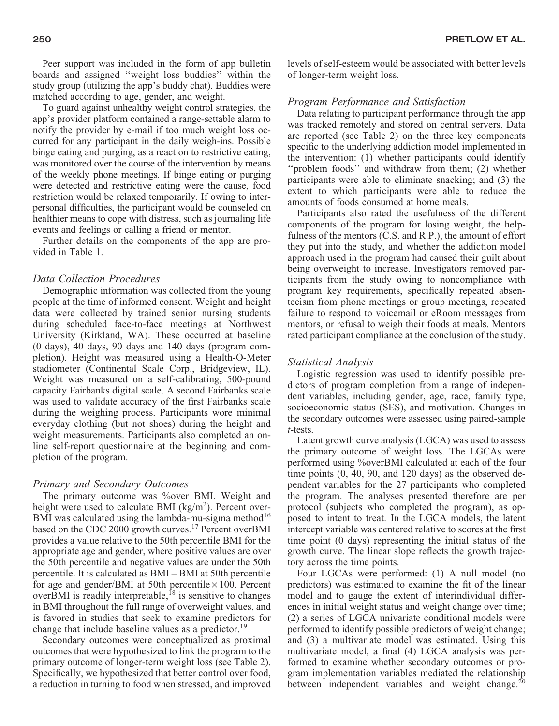Peer support was included in the form of app bulletin boards and assigned ''weight loss buddies'' within the study group (utilizing the app's buddy chat). Buddies were matched according to age, gender, and weight.

To guard against unhealthy weight control strategies, the app's provider platform contained a range-settable alarm to notify the provider by e-mail if too much weight loss occurred for any participant in the daily weigh-ins. Possible binge eating and purging, as a reaction to restrictive eating, was monitored over the course of the intervention by means of the weekly phone meetings. If binge eating or purging were detected and restrictive eating were the cause, food restriction would be relaxed temporarily. If owing to interpersonal difficulties, the participant would be counseled on healthier means to cope with distress, such as journaling life events and feelings or calling a friend or mentor.

Further details on the components of the app are provided in Table 1.

# Data Collection Procedures

Demographic information was collected from the young people at the time of informed consent. Weight and height data were collected by trained senior nursing students during scheduled face-to-face meetings at Northwest University (Kirkland, WA). These occurred at baseline (0 days), 40 days, 90 days and 140 days (program completion). Height was measured using a Health-O-Meter stadiometer (Continental Scale Corp., Bridgeview, IL). Weight was measured on a self-calibrating, 500-pound capacity Fairbanks digital scale. A second Fairbanks scale was used to validate accuracy of the first Fairbanks scale during the weighing process. Participants wore minimal everyday clothing (but not shoes) during the height and weight measurements. Participants also completed an online self-report questionnaire at the beginning and completion of the program.

# Primary and Secondary Outcomes

The primary outcome was %over BMI. Weight and height were used to calculate BMI (kg/m<sup>2</sup>). Percent over-BMI was calculated using the lambda-mu-sigma method<sup>16</sup> based on the CDC 2000 growth curves.<sup>17</sup> Percent overBMI provides a value relative to the 50th percentile BMI for the appropriate age and gender, where positive values are over the 50th percentile and negative values are under the 50th percentile. It is calculated as BMI – BMI at 50th percentile for age and gender/BMI at 50th percentile  $\times$  100. Percent overBMI is readily interpretable,  $^{18}$  is sensitive to changes in BMI throughout the full range of overweight values, and is favored in studies that seek to examine predictors for change that include baseline values as a predictor.<sup>19</sup>

Secondary outcomes were conceptualized as proximal outcomes that were hypothesized to link the program to the primary outcome of longer-term weight loss (see Table 2). Specifically, we hypothesized that better control over food, a reduction in turning to food when stressed, and improved levels of self-esteem would be associated with better levels of longer-term weight loss.

# Program Performance and Satisfaction

Data relating to participant performance through the app was tracked remotely and stored on central servers. Data are reported (see Table 2) on the three key components specific to the underlying addiction model implemented in the intervention: (1) whether participants could identify ''problem foods'' and withdraw from them; (2) whether participants were able to eliminate snacking; and (3) the extent to which participants were able to reduce the amounts of foods consumed at home meals.

Participants also rated the usefulness of the different components of the program for losing weight, the helpfulness of the mentors (C.S. and R.P.), the amount of effort they put into the study, and whether the addiction model approach used in the program had caused their guilt about being overweight to increase. Investigators removed participants from the study owing to noncompliance with program key requirements, specifically repeated absenteeism from phone meetings or group meetings, repeated failure to respond to voicemail or eRoom messages from mentors, or refusal to weigh their foods at meals. Mentors rated participant compliance at the conclusion of the study.

#### Statistical Analysis

Logistic regression was used to identify possible predictors of program completion from a range of independent variables, including gender, age, race, family type, socioeconomic status (SES), and motivation. Changes in the secondary outcomes were assessed using paired-sample t-tests.

Latent growth curve analysis (LGCA) was used to assess the primary outcome of weight loss. The LGCAs were performed using %overBMI calculated at each of the four time points (0, 40, 90, and 120 days) as the observed dependent variables for the 27 participants who completed the program. The analyses presented therefore are per protocol (subjects who completed the program), as opposed to intent to treat. In the LGCA models, the latent intercept variable was centered relative to scores at the first time point (0 days) representing the initial status of the growth curve. The linear slope reflects the growth trajectory across the time points.

Four LGCAs were performed: (1) A null model (no predictors) was estimated to examine the fit of the linear model and to gauge the extent of interindividual differences in initial weight status and weight change over time; (2) a series of LGCA univariate conditional models were performed to identify possible predictors of weight change; and (3) a multivariate model was estimated. Using this multivariate model, a final (4) LGCA analysis was performed to examine whether secondary outcomes or program implementation variables mediated the relationship between independent variables and weight change. $^{20}$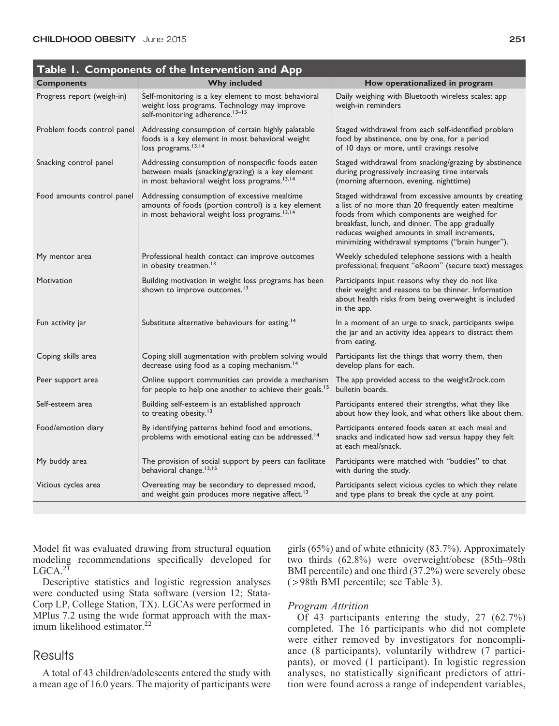|                             | Table 1. Components of the Intervention and App                                                                                                                     |                                                                                                                                                                                                                                                                                                                   |
|-----------------------------|---------------------------------------------------------------------------------------------------------------------------------------------------------------------|-------------------------------------------------------------------------------------------------------------------------------------------------------------------------------------------------------------------------------------------------------------------------------------------------------------------|
| <b>Components</b>           | <b>Why included</b>                                                                                                                                                 | How operationalized in program                                                                                                                                                                                                                                                                                    |
| Progress report (weigh-in)  | Self-monitoring is a key element to most behavioral<br>weight loss programs. Technology may improve<br>self-monitoring adherence. <sup>13-15</sup>                  | Daily weighing with Bluetooth wireless scales; app<br>weigh-in reminders                                                                                                                                                                                                                                          |
| Problem foods control panel | Addressing consumption of certain highly palatable<br>foods is a key element in most behavioral weight<br>loss programs. <sup>13,14</sup>                           | Staged withdrawal from each self-identified problem<br>food by abstinence, one by one, for a period<br>of 10 days or more, until cravings resolve                                                                                                                                                                 |
| Snacking control panel      | Addressing consumption of nonspecific foods eaten<br>between meals (snacking/grazing) is a key element<br>in most behavioral weight loss programs. <sup>13,14</sup> | Staged withdrawal from snacking/grazing by abstinence<br>during progressively increasing time intervals<br>(morning afternoon, evening, nighttime)                                                                                                                                                                |
| Food amounts control panel  | Addressing consumption of excessive mealtime<br>amounts of foods (portion control) is a key element<br>in most behavioral weight loss programs. <sup>13,14</sup>    | Staged withdrawal from excessive amounts by creating<br>a list of no more than 20 frequently eaten mealtime<br>foods from which components are weighed for<br>breakfast, lunch, and dinner. The app gradually<br>reduces weighed amounts in small increments,<br>minimizing withdrawal symptoms ("brain hunger"). |
| My mentor area              | Professional health contact can improve outcomes<br>in obesity treatmen. <sup>13</sup>                                                                              | Weekly scheduled telephone sessions with a health<br>professional; frequent "eRoom" (secure text) messages                                                                                                                                                                                                        |
| Motivation                  | Building motivation in weight loss programs has been<br>shown to improve outcomes. <sup>13</sup>                                                                    | Participants input reasons why they do not like<br>their weight and reasons to be thinner. Information<br>about health risks from being overweight is included<br>in the app.                                                                                                                                     |
| Fun activity jar            | Substitute alternative behaviours for eating. <sup>14</sup>                                                                                                         | In a moment of an urge to snack, participants swipe<br>the jar and an activity idea appears to distract them<br>from eating.                                                                                                                                                                                      |
| Coping skills area          | Coping skill augmentation with problem solving would<br>decrease using food as a coping mechanism. <sup>14</sup>                                                    | Participants list the things that worry them, then<br>develop plans for each.                                                                                                                                                                                                                                     |
| Peer support area           | Online support communities can provide a mechanism<br>for people to help one another to achieve their goals. <sup>15</sup>                                          | The app provided access to the weight2rock.com<br>bulletin boards.                                                                                                                                                                                                                                                |
| Self-esteem area            | Building self-esteem is an established approach<br>to treating obesity. <sup>13</sup>                                                                               | Participants entered their strengths, what they like<br>about how they look, and what others like about them.                                                                                                                                                                                                     |
| Food/emotion diary          | By identifying patterns behind food and emotions,<br>problems with emotional eating can be addressed. <sup>14</sup>                                                 | Participants entered foods eaten at each meal and<br>snacks and indicated how sad versus happy they felt<br>at each meal/snack.                                                                                                                                                                                   |
| My buddy area               | The provision of social support by peers can facilitate<br>behavioral change. <sup>13,15</sup>                                                                      | Participants were matched with "buddies" to chat<br>with during the study.                                                                                                                                                                                                                                        |
| Vicious cycles area         | Overeating may be secondary to depressed mood,<br>and weight gain produces more negative affect. <sup>13</sup>                                                      | Participants select vicious cycles to which they relate<br>and type plans to break the cycle at any point.                                                                                                                                                                                                        |

Model fit was evaluated drawing from structural equation modeling recommendations specifically developed for  $LGCA.<sup>21</sup>$ 

Descriptive statistics and logistic regression analyses were conducted using Stata software (version 12; Stata-Corp LP, College Station, TX). LGCAs were performed in MPlus 7.2 using the wide format approach with the maximum likelihood estimator.<sup>22</sup>

# **Results**

A total of 43 children/adolescents entered the study with a mean age of 16.0 years. The majority of participants were girls (65%) and of white ethnicity (83.7%). Approximately two thirds (62.8%) were overweight/obese (85th–98th BMI percentile) and one third (37.2%) were severely obese ( > 98th BMI percentile; see Table 3).

## Program Attrition

Of 43 participants entering the study, 27 (62.7%) completed. The 16 participants who did not complete were either removed by investigators for noncompliance (8 participants), voluntarily withdrew (7 participants), or moved (1 participant). In logistic regression analyses, no statistically significant predictors of attrition were found across a range of independent variables,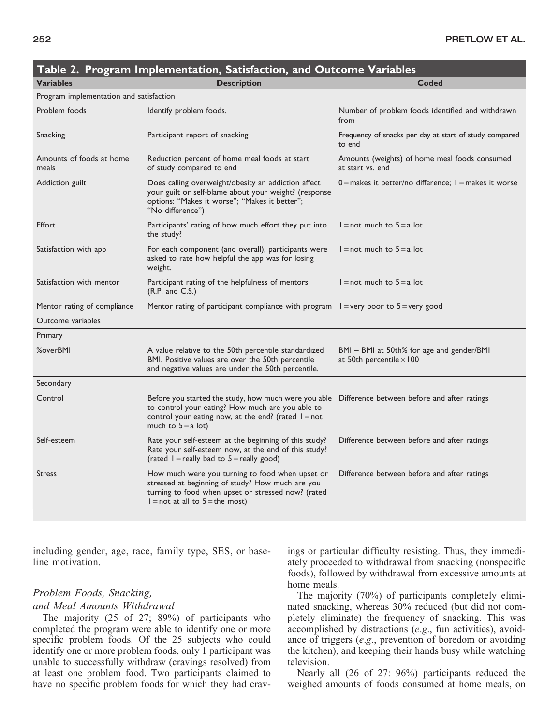| Table 2. Program Implementation, Satisfaction, and Outcome Variables |                                                                                                                                                                                                |                                                                              |  |  |
|----------------------------------------------------------------------|------------------------------------------------------------------------------------------------------------------------------------------------------------------------------------------------|------------------------------------------------------------------------------|--|--|
| <b>Variables</b>                                                     | <b>Description</b>                                                                                                                                                                             | Coded                                                                        |  |  |
| Program implementation and satisfaction                              |                                                                                                                                                                                                |                                                                              |  |  |
| Problem foods                                                        | Identify problem foods.                                                                                                                                                                        | Number of problem foods identified and withdrawn<br>from                     |  |  |
| Snacking                                                             | Participant report of snacking                                                                                                                                                                 | Frequency of snacks per day at start of study compared<br>to end             |  |  |
| Amounts of foods at home<br>meals                                    | Reduction percent of home meal foods at start<br>of study compared to end                                                                                                                      | Amounts (weights) of home meal foods consumed<br>at start vs. end            |  |  |
| Addiction guilt                                                      | Does calling overweight/obesity an addiction affect<br>your guilt or self-blame about your weight? (response<br>options: "Makes it worse"; "Makes it better";<br>"No difference")              | $0$ = makes it better/no difference: $1$ = makes it worse                    |  |  |
| Effort                                                               | Participants' rating of how much effort they put into<br>the study?                                                                                                                            | $l = not$ much to $5 = a$ lot                                                |  |  |
| Satisfaction with app                                                | For each component (and overall), participants were<br>asked to rate how helpful the app was for losing<br>weight.                                                                             | $l = not$ much to $5 = a$ lot                                                |  |  |
| Satisfaction with mentor                                             | Participant rating of the helpfulness of mentors<br>(R.P. and C.S.)                                                                                                                            | $l = not$ much to $5 = a$ lot                                                |  |  |
| Mentor rating of compliance                                          | Mentor rating of participant compliance with program                                                                                                                                           | $1 =$ very poor to $5 =$ very good                                           |  |  |
| Outcome variables                                                    |                                                                                                                                                                                                |                                                                              |  |  |
| Primary                                                              |                                                                                                                                                                                                |                                                                              |  |  |
| <b>%overBMI</b>                                                      | A value relative to the 50th percentile standardized<br>BMI. Positive values are over the 50th percentile<br>and negative values are under the 50th percentile.                                | BMI - BMI at 50th% for age and gender/BMI<br>at 50th percentile $\times$ 100 |  |  |
| Secondary                                                            |                                                                                                                                                                                                |                                                                              |  |  |
| Control                                                              | Before you started the study, how much were you able<br>to control your eating? How much are you able to<br>control your eating now, at the end? (rated $l = not$<br>much to $5 = a$ lot)      | Difference between before and after ratings                                  |  |  |
| Self-esteem                                                          | Rate your self-esteem at the beginning of this study?<br>Rate your self-esteem now, at the end of this study?<br>(rated $l =$ really bad to $5 =$ really good)                                 | Difference between before and after ratings                                  |  |  |
| <b>Stress</b>                                                        | How much were you turning to food when upset or<br>stressed at beginning of study? How much are you<br>turning to food when upset or stressed now? (rated<br>$l = not at all to 5 = the most)$ | Difference between before and after ratings                                  |  |  |

including gender, age, race, family type, SES, or baseline motivation.

# Problem Foods, Snacking, and Meal Amounts Withdrawal

The majority (25 of 27; 89%) of participants who completed the program were able to identify one or more specific problem foods. Of the 25 subjects who could identify one or more problem foods, only 1 participant was unable to successfully withdraw (cravings resolved) from at least one problem food. Two participants claimed to have no specific problem foods for which they had cravings or particular difficulty resisting. Thus, they immediately proceeded to withdrawal from snacking (nonspecific foods), followed by withdrawal from excessive amounts at home meals.

The majority (70%) of participants completely eliminated snacking, whereas 30% reduced (but did not completely eliminate) the frequency of snacking. This was accomplished by distractions (e.g., fun activities), avoidance of triggers (e.g., prevention of boredom or avoiding the kitchen), and keeping their hands busy while watching television.

Nearly all (26 of 27: 96%) participants reduced the weighed amounts of foods consumed at home meals, on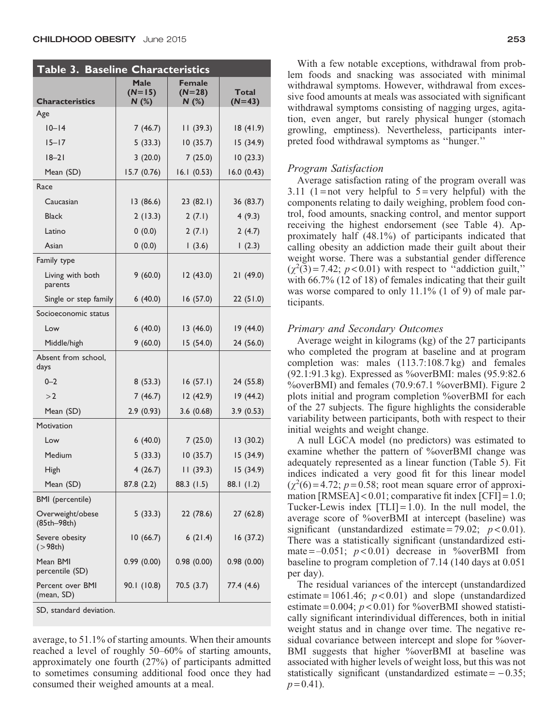| <b>Table 3. Baseline Characteristics</b> |                                  |                                    |                   |  |  |
|------------------------------------------|----------------------------------|------------------------------------|-------------------|--|--|
| <b>Characteristics</b>                   | <b>Male</b><br>$(N=15)$<br>N (%) | <b>Female</b><br>$(N=28)$<br>N (%) | Total<br>$(N=43)$ |  |  |
| Age                                      |                                  |                                    |                   |  |  |
| $10 - 14$                                | 7(46.7)                          | 11(39.3)                           | 18(41.9)          |  |  |
| $15 - 17$                                | 5(33.3)                          | 10(35.7)                           | 15 (34.9)         |  |  |
| $18 - 21$                                | 3(20.0)                          | 7(25.0)                            | 10(23.3)          |  |  |
| Mean (SD)                                | 15.7 (0.76)                      | 16.1(0.53)                         | 16.0(0.43)        |  |  |
| Race                                     |                                  |                                    |                   |  |  |
| Caucasian                                | 13 (86.6)                        | 23(82.1)                           | 36 (83.7)         |  |  |
| <b>Black</b>                             | 2(13.3)                          | 2(7.1)                             | 4(9.3)            |  |  |
| Latino                                   | 0(0.0)                           | 2(7.1)                             | 2(4.7)            |  |  |
| Asian                                    | 0(0.0)                           | 1(3.6)                             | 1(2.3)            |  |  |
| Family type                              |                                  |                                    |                   |  |  |
| Living with both<br>parents              | 9(60.0)                          | 12(43.0)                           | 21 (49.0)         |  |  |
| Single or step family                    | 6(40.0)                          | 16 (57.0)                          | 22(51.0)          |  |  |
| Socioeconomic status                     |                                  |                                    |                   |  |  |
| Low                                      | 6(40.0)                          | 13(46.0)                           | 19 (44.0)         |  |  |
| Middle/high                              | 9(60.0)                          | 15 (54.0)                          | 24 (56.0)         |  |  |
| Absent from school,<br>days              |                                  |                                    |                   |  |  |
| $0 - 2$                                  | 8(53.3)                          | 16(57.1)                           | 24 (55.8)         |  |  |
| >2                                       | 7(46.7)                          | 12 (42.9)                          | 19 (44.2)         |  |  |
| Mean (SD)                                | 2.9(0.93)                        | 3.6(0.68)                          | 3.9(0.53)         |  |  |
| Motivation                               |                                  |                                    |                   |  |  |
| Low                                      | 6(40.0)                          | 7(25.0)                            | 13(30.2)          |  |  |
| Medium                                   | 5(33.3)                          | 10(35.7)                           | 15 (34.9)         |  |  |
| <b>High</b>                              | 4(26.7)                          | 11(39.3)                           | 15 (34.9)         |  |  |
| Mean (SD)                                | 87.8 (2.2)                       | 88.3 (1.5)                         | 88.1 (1.2)        |  |  |
| BMI (percentile)                         |                                  |                                    |                   |  |  |
| Overweight/obese<br>(85th-98th)          | 5(33.3)                          | 22 (78.6)                          | 27 (62.8)         |  |  |
| Severe obesity<br>( > 98th)              | 10(66.7)                         | 6(21.4)                            | 16(37.2)          |  |  |
| Mean BMI<br>percentile (SD)              | 0.99(0.00)                       | 0.98(0.00)                         | 0.98(0.00)        |  |  |
| Percent over BMI<br>(mean, SD)           | 90.1 (10.8)                      | 70.5 (3.7)                         | 77.4 (4.6)        |  |  |

SD, standard deviation.

average, to 51.1% of starting amounts. When their amounts reached a level of roughly 50–60% of starting amounts, approximately one fourth (27%) of participants admitted to sometimes consuming additional food once they had consumed their weighed amounts at a meal.

With a few notable exceptions, withdrawal from problem foods and snacking was associated with minimal withdrawal symptoms. However, withdrawal from excessive food amounts at meals was associated with significant withdrawal symptoms consisting of nagging urges, agitation, even anger, but rarely physical hunger (stomach growling, emptiness). Nevertheless, participants interpreted food withdrawal symptoms as ''hunger.''

## Program Satisfaction

Average satisfaction rating of the program overall was 3.11 (1 = not very helpful to  $5 = \text{very helpful}$ ) with the components relating to daily weighing, problem food control, food amounts, snacking control, and mentor support receiving the highest endorsement (see Table 4). Approximately half (48.1%) of participants indicated that calling obesity an addiction made their guilt about their weight worse. There was a substantial gender difference  $(\chi^2(3) = 7.42; p < 0.01)$  with respect to "addiction guilt," with 66.7% (12 of 18) of females indicating that their guilt was worse compared to only 11.1% (1 of 9) of male participants.

## Primary and Secondary Outcomes

Average weight in kilograms (kg) of the 27 participants who completed the program at baseline and at program completion was: males (113.7:108.7 kg) and females (92.1:91.3 kg). Expressed as %overBMI: males (95.9:82.6 %overBMI) and females (70.9:67.1 %overBMI). Figure 2 plots initial and program completion %overBMI for each of the 27 subjects. The figure highlights the considerable variability between participants, both with respect to their initial weights and weight change.

A null LGCA model (no predictors) was estimated to examine whether the pattern of %overBMI change was adequately represented as a linear function (Table 5). Fit indices indicated a very good fit for this linear model  $(\chi^2(6) = 4.72; p = 0.58;$  root mean square error of approximation  $[RMSEA] < 0.01$ ; comparative fit index  $[CFI] = 1.0$ ; Tucker-Lewis index  $[TLI] = 1.0$ . In the null model, the average score of %overBMI at intercept (baseline) was significant (unstandardized estimate = 79.02;  $p < 0.01$ ). There was a statistically significant (unstandardized estimate  $=-0.051$ ;  $p < 0.01$ ) decrease in %overBMI from baseline to program completion of 7.14 (140 days at 0.051 per day).

The residual variances of the intercept (unstandardized estimate =  $1061.46$ ;  $p < 0.01$ ) and slope (unstandardized estimate =  $0.004$ ;  $p < 0.01$ ) for %overBMI showed statistically significant interindividual differences, both in initial weight status and in change over time. The negative residual covariance between intercept and slope for %over-BMI suggests that higher %overBMI at baseline was associated with higher levels of weight loss, but this was not statistically significant (unstandardized estimate  $= -0.35$ ;  $p = 0.41$ ).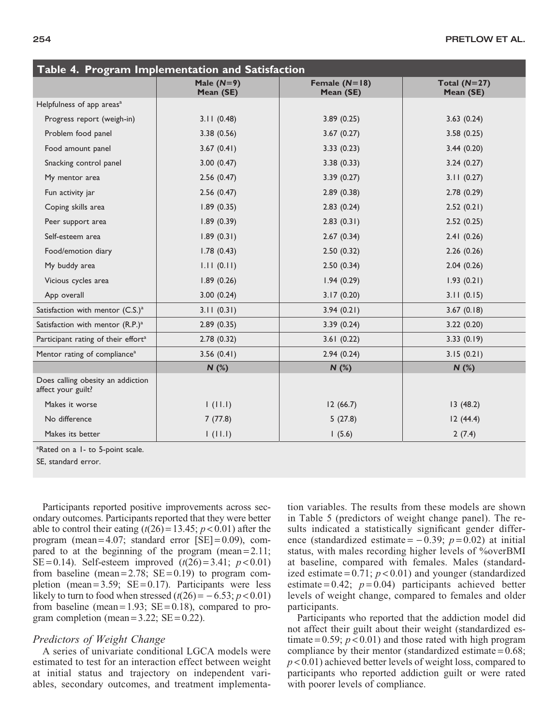| Table 4. Program Implementation and Satisfaction        |                           |                              |                             |
|---------------------------------------------------------|---------------------------|------------------------------|-----------------------------|
|                                                         | Male $(N=9)$<br>Mean (SE) | Female $(N=18)$<br>Mean (SE) | Total $(N=27)$<br>Mean (SE) |
| Helpfulness of app areas <sup>a</sup>                   |                           |                              |                             |
| Progress report (weigh-in)                              | 3.11(0.48)                | 3.89(0.25)                   | 3.63(0.24)                  |
| Problem food panel                                      | 3.38(0.56)                | 3.67(0.27)                   | 3.58(0.25)                  |
| Food amount panel                                       | 3.67(0.41)                | 3.33(0.23)                   | 3.44(0.20)                  |
| Snacking control panel                                  | 3.00(0.47)                | 3.38(0.33)                   | 3.24(0.27)                  |
| My mentor area                                          | 2.56(0.47)                | 3.39(0.27)                   | 3.11(0.27)                  |
| Fun activity jar                                        | 2.56(0.47)                | 2.89(0.38)                   | 2.78(0.29)                  |
| Coping skills area                                      | 1.89(0.35)                | 2.83(0.24)                   | 2.52(0.21)                  |
| Peer support area                                       | 1.89(0.39)                | 2.83(0.31)                   | 2.52(0.25)                  |
| Self-esteem area                                        | 1.89(0.31)                | 2.67(0.34)                   | 2.41(0.26)                  |
| Food/emotion diary                                      | 1.78(0.43)                | 2.50(0.32)                   | 2.26(0.26)                  |
| My buddy area                                           | 1.11(0.11)                | 2.50(0.34)                   | 2.04(0.26)                  |
| Vicious cycles area                                     | 1.89(0.26)                | 1.94(0.29)                   | 1.93(0.21)                  |
| App overall                                             | 3.00(0.24)                | 3.17(0.20)                   | 3.11(0.15)                  |
| Satisfaction with mentor (C.S.) <sup>a</sup>            | 3.11(0.31)                | 3.94(0.21)                   | 3.67(0.18)                  |
| Satisfaction with mentor (R.P.) <sup>a</sup>            | 2.89(0.35)                | 3.39(0.24)                   | 3.22(0.20)                  |
| Participant rating of their effort <sup>a</sup>         | 2.78(0.32)                | 3.61(0.22)                   | 3.33(0.19)                  |
| Mentor rating of compliance <sup>a</sup>                | 3.56(0.41)                | 2.94(0.24)                   | 3.15(0.21)                  |
|                                                         | $N$ (%)                   | N(%)                         | N(%)                        |
| Does calling obesity an addiction<br>affect your guilt? |                           |                              |                             |
| Makes it worse                                          | 1(11.1)                   | 12(66.7)                     | 13(48.2)                    |
| No difference                                           | 7(77.8)                   | 5(27.8)                      | 12(44.4)                    |
| Makes its better                                        | 1(11.1)                   | 1(5.6)                       | 2(7.4)                      |

<sup>a</sup>Rated on a 1- to 5-point scale.

SE, standard error.

Participants reported positive improvements across secondary outcomes. Participants reported that they were better able to control their eating  $(t(26) = 13.45; p < 0.01)$  after the program (mean  $= 4.07$ ; standard error  $[SE] = 0.09$ ), compared to at the beginning of the program (mean =  $2.11$ ; SE = 0.14). Self-esteem improved  $(t(26) = 3.41; p < 0.01)$ from baseline (mean =  $2.78$ ; SE = 0.19) to program completion (mean =  $3.59$ ; SE = 0.17). Participants were less likely to turn to food when stressed  $(t(26) = -6.53; p < 0.01)$ from baseline (mean =  $1.93$ ; SE = 0.18), compared to program completion (mean =  $3.22$ ; SE =  $0.22$ ).

# Predictors of Weight Change

A series of univariate conditional LGCA models were estimated to test for an interaction effect between weight at initial status and trajectory on independent variables, secondary outcomes, and treatment implementation variables. The results from these models are shown in Table 5 (predictors of weight change panel). The results indicated a statistically significant gender difference (standardized estimate =  $-0.39$ ;  $p = 0.02$ ) at initial status, with males recording higher levels of %overBMI at baseline, compared with females. Males (standardized estimate =  $0.71$ ;  $p < 0.01$ ) and younger (standardized estimate =  $0.42$ ;  $p = 0.04$ ) participants achieved better levels of weight change, compared to females and older participants.

Participants who reported that the addiction model did not affect their guilt about their weight (standardized estimate =  $0.59$ ;  $p < 0.01$ ) and those rated with high program compliance by their mentor (standardized estimate  $= 0.68$ ;  $p < 0.01$ ) achieved better levels of weight loss, compared to participants who reported addiction guilt or were rated with poorer levels of compliance.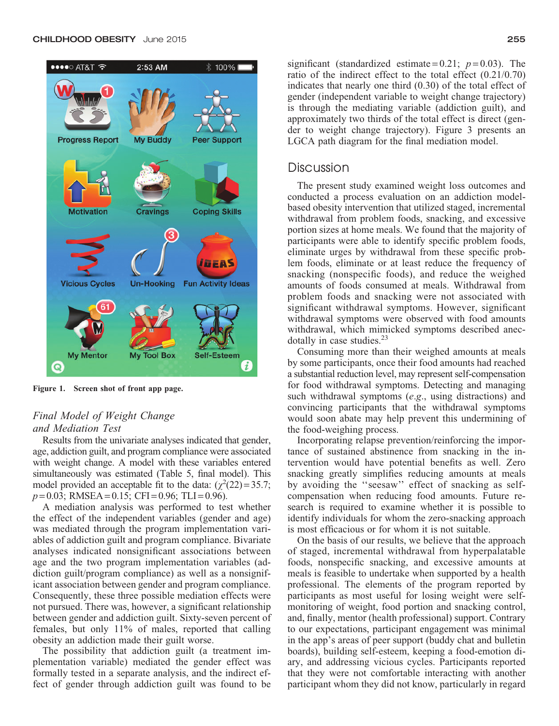

Figure 1. Screen shot of front app page.

# Final Model of Weight Change and Mediation Test

Results from the univariate analyses indicated that gender, age, addiction guilt, and program compliance were associated with weight change. A model with these variables entered simultaneously was estimated (Table 5, final model). This model provided an acceptable fit to the data:  $(\chi^2(22) = 35.7)$ ;  $p = 0.03$ ; RMSEA = 0.15; CFI = 0.96; TLI = 0.96).

A mediation analysis was performed to test whether the effect of the independent variables (gender and age) was mediated through the program implementation variables of addiction guilt and program compliance. Bivariate analyses indicated nonsignificant associations between age and the two program implementation variables (addiction guilt/program compliance) as well as a nonsignificant association between gender and program compliance. Consequently, these three possible mediation effects were not pursued. There was, however, a significant relationship between gender and addiction guilt. Sixty-seven percent of females, but only 11% of males, reported that calling obesity an addiction made their guilt worse.

The possibility that addiction guilt (a treatment implementation variable) mediated the gender effect was formally tested in a separate analysis, and the indirect effect of gender through addiction guilt was found to be

# Discussion

The present study examined weight loss outcomes and conducted a process evaluation on an addiction modelbased obesity intervention that utilized staged, incremental withdrawal from problem foods, snacking, and excessive portion sizes at home meals. We found that the majority of participants were able to identify specific problem foods, eliminate urges by withdrawal from these specific problem foods, eliminate or at least reduce the frequency of snacking (nonspecific foods), and reduce the weighed amounts of foods consumed at meals. Withdrawal from problem foods and snacking were not associated with significant withdrawal symptoms. However, significant withdrawal symptoms were observed with food amounts withdrawal, which mimicked symptoms described anecdotally in case studies. $2<sup>3</sup>$ 

Consuming more than their weighed amounts at meals by some participants, once their food amounts had reached a substantial reduction level, may represent self-compensation for food withdrawal symptoms. Detecting and managing such withdrawal symptoms (e.g., using distractions) and convincing participants that the withdrawal symptoms would soon abate may help prevent this undermining of the food-weighing process.

Incorporating relapse prevention/reinforcing the importance of sustained abstinence from snacking in the intervention would have potential benefits as well. Zero snacking greatly simplifies reducing amounts at meals by avoiding the ''seesaw'' effect of snacking as selfcompensation when reducing food amounts. Future research is required to examine whether it is possible to identify individuals for whom the zero-snacking approach is most efficacious or for whom it is not suitable.

On the basis of our results, we believe that the approach of staged, incremental withdrawal from hyperpalatable foods, nonspecific snacking, and excessive amounts at meals is feasible to undertake when supported by a health professional. The elements of the program reported by participants as most useful for losing weight were selfmonitoring of weight, food portion and snacking control, and, finally, mentor (health professional) support. Contrary to our expectations, participant engagement was minimal in the app's areas of peer support (buddy chat and bulletin boards), building self-esteem, keeping a food-emotion diary, and addressing vicious cycles. Participants reported that they were not comfortable interacting with another participant whom they did not know, particularly in regard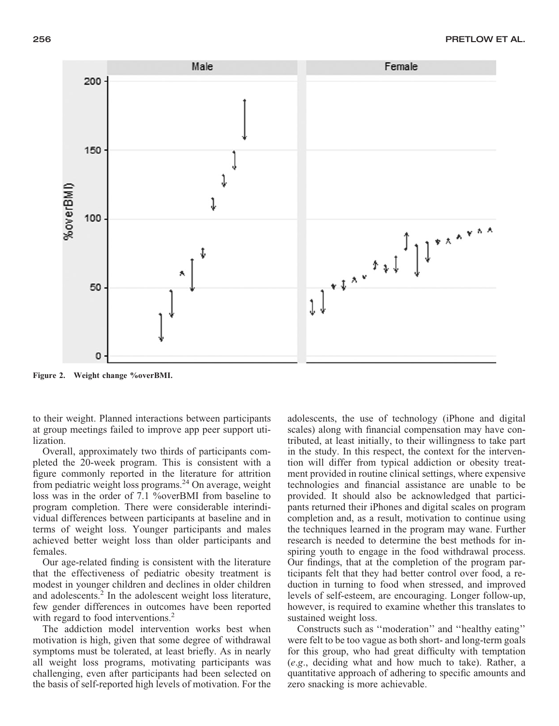

Figure 2. Weight change %overBMI.

to their weight. Planned interactions between participants at group meetings failed to improve app peer support utilization.

Overall, approximately two thirds of participants completed the 20-week program. This is consistent with a figure commonly reported in the literature for attrition from pediatric weight loss programs.<sup>24</sup> On average, weight loss was in the order of 7.1 %overBMI from baseline to program completion. There were considerable interindividual differences between participants at baseline and in terms of weight loss. Younger participants and males achieved better weight loss than older participants and females.

Our age-related finding is consistent with the literature that the effectiveness of pediatric obesity treatment is modest in younger children and declines in older children and adolescents.<sup>2</sup> In the adolescent weight loss literature, few gender differences in outcomes have been reported with regard to food interventions.<sup>2</sup>

The addiction model intervention works best when motivation is high, given that some degree of withdrawal symptoms must be tolerated, at least briefly. As in nearly all weight loss programs, motivating participants was challenging, even after participants had been selected on the basis of self-reported high levels of motivation. For the adolescents, the use of technology (iPhone and digital scales) along with financial compensation may have contributed, at least initially, to their willingness to take part in the study. In this respect, the context for the intervention will differ from typical addiction or obesity treatment provided in routine clinical settings, where expensive technologies and financial assistance are unable to be provided. It should also be acknowledged that participants returned their iPhones and digital scales on program completion and, as a result, motivation to continue using the techniques learned in the program may wane. Further research is needed to determine the best methods for inspiring youth to engage in the food withdrawal process. Our findings, that at the completion of the program participants felt that they had better control over food, a reduction in turning to food when stressed, and improved levels of self-esteem, are encouraging. Longer follow-up, however, is required to examine whether this translates to sustained weight loss.

Constructs such as ''moderation'' and ''healthy eating'' were felt to be too vague as both short- and long-term goals for this group, who had great difficulty with temptation (e.g., deciding what and how much to take). Rather, a quantitative approach of adhering to specific amounts and zero snacking is more achievable.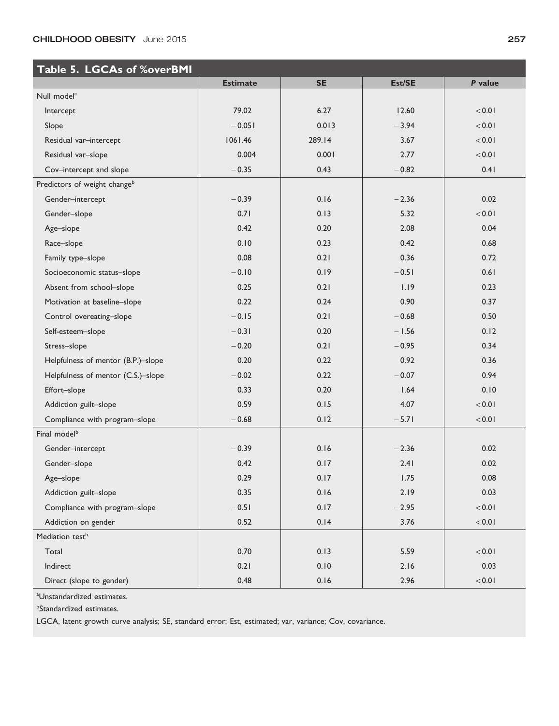# CHILDHOOD OBESITY June 2015 257

| Table 5. LGCAs of %overBMI               |                 |           |         |            |  |
|------------------------------------------|-----------------|-----------|---------|------------|--|
|                                          | <b>Estimate</b> | <b>SE</b> | Est/SE  | P value    |  |
| Null model <sup>a</sup>                  |                 |           |         |            |  |
| Intercept                                | 79.02           | 6.27      | 12.60   | < 0.01     |  |
| Slope                                    | $-0.051$        | 0.013     | $-3.94$ | < 0.01     |  |
| Residual var-intercept                   | 1061.46         | 289.14    | 3.67    | < 0.01     |  |
| Residual var-slope                       | 0.004           | 0.001     | 2.77    | < 0.01     |  |
| Cov-intercept and slope                  | $-0.35$         | 0.43      | $-0.82$ | 0.41       |  |
| Predictors of weight change <sup>b</sup> |                 |           |         |            |  |
| Gender-intercept                         | $-0.39$         | 0.16      | $-2.36$ | 0.02       |  |
| Gender-slope                             | 0.71            | 0.13      | 5.32    | $10.0 - 5$ |  |
| Age-slope                                | 0.42            | 0.20      | 2.08    | 0.04       |  |
| Race-slope                               | 0.10            | 0.23      | 0.42    | 0.68       |  |
| Family type-slope                        | 0.08            | 0.21      | 0.36    | 0.72       |  |
| Socioeconomic status-slope               | $-0.10$         | 0.19      | $-0.51$ | 0.61       |  |
| Absent from school-slope                 | 0.25            | 0.21      | 1.19    | 0.23       |  |
| Motivation at baseline-slope             | 0.22            | 0.24      | 0.90    | 0.37       |  |
| Control overeating-slope                 | $-0.15$         | 0.21      | $-0.68$ | 0.50       |  |
| Self-esteem-slope                        | $-0.31$         | 0.20      | $-1.56$ | 0.12       |  |
| Stress-slope                             | $-0.20$         | 0.21      | $-0.95$ | 0.34       |  |
| Helpfulness of mentor (B.P.)-slope       | 0.20            | 0.22      | 0.92    | 0.36       |  |
| Helpfulness of mentor (C.S.)-slope       | $-0.02$         | 0.22      | $-0.07$ | 0.94       |  |
| Effort-slope                             | 0.33            | 0.20      | 1.64    | 0.10       |  |
| Addiction guilt-slope                    | 0.59            | 0.15      | 4.07    | < 0.01     |  |
| Compliance with program-slope            | $-0.68$         | 0.12      | $-5.71$ | 10.01      |  |
| Final model <sup>b</sup>                 |                 |           |         |            |  |
| Gender-intercept                         | $-0.39$         | 0.16      | $-2.36$ | 0.02       |  |
| Gender-slope                             | 0.42            | 0.17      | 2.41    | 0.02       |  |
| Age-slope                                | 0.29            | 0.17      | 1.75    | 0.08       |  |
| Addiction guilt-slope                    | 0.35            | 0.16      | 2.19    | 0.03       |  |
| Compliance with program-slope            | $-0.51$         | 0.17      | $-2.95$ | 10.0 <     |  |
| Addiction on gender                      | 0.52            | 0.14      | 3.76    | 10.0 <     |  |
| Mediation test <sup>b</sup>              |                 |           |         |            |  |
| Total                                    | 0.70            | 0.13      | 5.59    | 10.0 <     |  |
| Indirect                                 | 0.21            | 0.10      | 2.16    | 0.03       |  |
| Direct (slope to gender)                 | 0.48            | 0.16      | 2.96    | 10.0 <     |  |

a Unstandardized estimates.

b Standardized estimates.

LGCA, latent growth curve analysis; SE, standard error; Est, estimated; var, variance; Cov, covariance.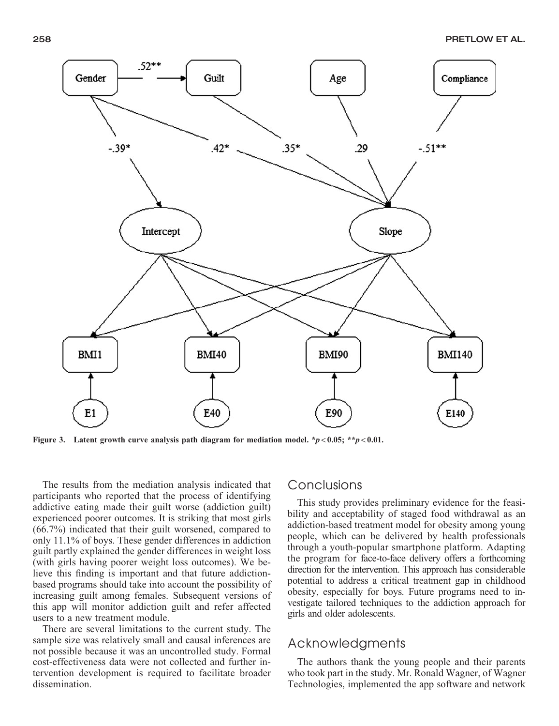

Figure 3. Latent growth curve analysis path diagram for mediation model.  $\frac{*p}{0.05}$ ;  $\frac{*p}{0.01}$ .

The results from the mediation analysis indicated that participants who reported that the process of identifying addictive eating made their guilt worse (addiction guilt) experienced poorer outcomes. It is striking that most girls (66.7%) indicated that their guilt worsened, compared to only 11.1% of boys. These gender differences in addiction guilt partly explained the gender differences in weight loss (with girls having poorer weight loss outcomes). We believe this finding is important and that future addictionbased programs should take into account the possibility of increasing guilt among females. Subsequent versions of this app will monitor addiction guilt and refer affected users to a new treatment module.

There are several limitations to the current study. The sample size was relatively small and causal inferences are not possible because it was an uncontrolled study. Formal cost-effectiveness data were not collected and further intervention development is required to facilitate broader dissemination.

# Conclusions

This study provides preliminary evidence for the feasibility and acceptability of staged food withdrawal as an addiction-based treatment model for obesity among young people, which can be delivered by health professionals through a youth-popular smartphone platform. Adapting the program for face-to-face delivery offers a forthcoming direction for the intervention. This approach has considerable potential to address a critical treatment gap in childhood obesity, especially for boys. Future programs need to investigate tailored techniques to the addiction approach for girls and older adolescents.

# Acknowledgments

The authors thank the young people and their parents who took part in the study. Mr. Ronald Wagner, of Wagner Technologies, implemented the app software and network